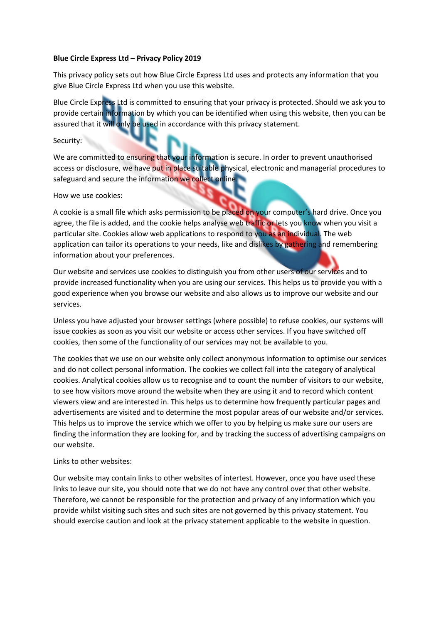## **Blue Circle Express Ltd – Privacy Policy 2019**

This privacy policy sets out how Blue Circle Express Ltd uses and protects any information that you give Blue Circle Express Ltd when you use this website.

Blue Circle Express Ltd is committed to ensuring that your privacy is protected. Should we ask you to provide certain information by which you can be identified when using this website, then you can be assured that it will only be used in accordance with this privacy statement.

## Security:

We are committed to ensuring that your information is secure. In order to prevent unauthorised access or disclosure, we have put in place suitable physical, electronic and managerial procedures to safeguard and secure the information we collect online.

## How we use cookies:

A cookie is a small file which asks permission to be placed on your computer's hard drive. Once you agree, the file is added, and the cookie helps analyse web traffic or lets you know when you visit a particular site. Cookies allow web applications to respond to you as an individual. The web application can tailor its operations to your needs, like and dislikes by gathering and remembering information about your preferences.

Our website and services use cookies to distinguish you from other users of our services and to provide increased functionality when you are using our services. This helps us to provide you with a good experience when you browse our website and also allows us to improve our website and our services.

Unless you have adjusted your browser settings (where possible) to refuse cookies, our systems will issue cookies as soon as you visit our website or access other services. If you have switched off cookies, then some of the functionality of our services may not be available to you.

The cookies that we use on our website only collect anonymous information to optimise our services and do not collect personal information. The cookies we collect fall into the category of analytical cookies. Analytical cookies allow us to recognise and to count the number of visitors to our website, to see how visitors move around the website when they are using it and to record which content viewers view and are interested in. This helps us to determine how frequently particular pages and advertisements are visited and to determine the most popular areas of our website and/or services. This helps us to improve the service which we offer to you by helping us make sure our users are finding the information they are looking for, and by tracking the success of advertising campaigns on our website.

## Links to other websites:

Our website may contain links to other websites of intertest. However, once you have used these links to leave our site, you should note that we do not have any control over that other website. Therefore, we cannot be responsible for the protection and privacy of any information which you provide whilst visiting such sites and such sites are not governed by this privacy statement. You should exercise caution and look at the privacy statement applicable to the website in question.